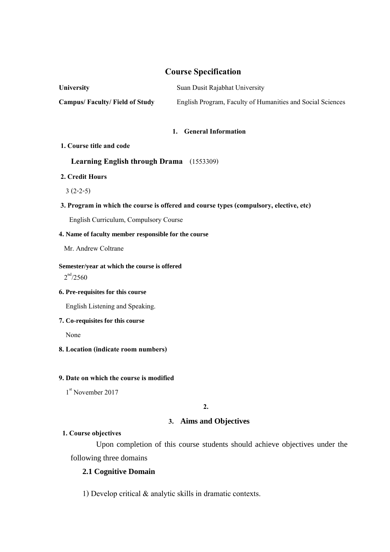# **Course Specification**

| <b>University</b>                    | Suan Dusit Rajabhat University                             |  |  |
|--------------------------------------|------------------------------------------------------------|--|--|
| <b>Campus/Faculty/Field of Study</b> | English Program, Faculty of Humanities and Social Sciences |  |  |

## **1. General Information**

#### **1. Course title and code**

# **Learning English through Drama** (1553309)

# **2. Credit Hours**

3 (2-2-5)

# **3. Program in which the course is offered and course types (compulsory, elective, etc)**

English Curriculum, Compulsory Course

# **4. Name of faculty member responsible for the course**

Mr. Andrew Coltrane

### **Semester/year at which the course is offered**

 $2^{nd}/2560$ 

# **6. Pre-requisites for this course**

English Listening and Speaking.

# **7. Co-requisites for this course**

None

# **8. Location(indicate room numbers)**

# **9. Date on which the course is modified**

1<sup>st</sup> November 2017

**2.**

# **3. Aims and Objectives**

# **1. Course objectives**

 Upon completion of this course students should achieve objectives under the following three domains

# **2.1 Cognitive Domain**

1) Develop critical & analytic skills in dramatic contexts.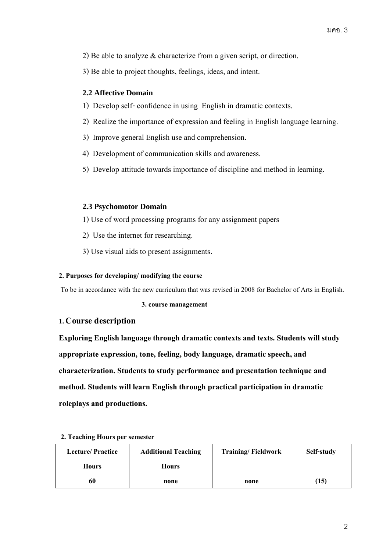- 2) Be able to analyze & characterize from a given script, or direction.
- 3) Be able to project thoughts, feelings, ideas, and intent.

# **2.2 Affective Domain**

- 1) Develop self- confidence in using English in dramatic contexts.
- 2) Realize the importance of expression and feeling in English language learning.
- 3) Improve general English use and comprehension.
- 4) Development of communication skills and awareness.
- 5) Develop attitude towards importance of discipline and method in learning.

# **2.3 Psychomotor Domain**

- 1) Use of word processing programs for any assignment papers
- 2) Use the internet for researching.
- 3) Use visual aids to present assignments.

## **2. Purposes for developing/ modifying the course**

To be in accordance with the new curriculum that was revised in 2008 for Bachelor of Arts in English.

 **3. course management** 

# **1. Course description**

**Exploring English language through dramatic contexts and texts. Students will study appropriate expression, tone, feeling, body language, dramatic speech, and characterization. Students to study performance and presentation technique and method. Students will learn English through practical participation in dramatic roleplays and productions.** 

| <b>Lecture/Practice</b> | <b>Additional Teaching</b> | <b>Training/Fieldwork</b> | Self-study |
|-------------------------|----------------------------|---------------------------|------------|
| <b>Hours</b>            | <b>Hours</b>               |                           |            |
| 60                      | none                       | none                      | (15)       |

## **2. Teaching Hours per semester**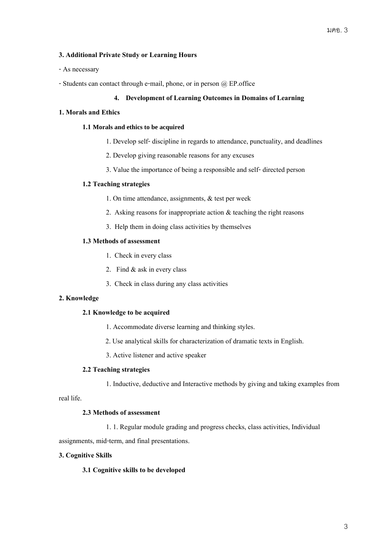# **3. Additional Private Study or Learning Hours**

- As necessary
- -Students can contact through e-mail, phone, or in person @ EP.office

#### **4. Development of Learning Outcomes in Domains of Learning**

#### **1. Moralsand Ethics**

#### **1.1 Morals and ethics to be acquired**

- 1. Develop self-discipline in regards to attendance, punctuality, and deadlines
- 2. Develop giving reasonable reasons for any excuses
- 3. Value the importance of being a responsible and self- directed person

## **1.2 Teaching strategies**

- 1. On time attendance, assignments, & test per week
- 2. Asking reasons for inappropriate action & teaching the right reasons
- 3. Help them in doing class activities by themselves

## **1.3 Methods of assessment**

- 1. Check in every class
- 2. Find & ask in every class
- 3. Check in class during any class activities

## **2. Knowledge**

#### **2.1 Knowledge to be acquired**

- 1. Accommodate diverse learning and thinking styles.
- 2. Use analytical skills for characterization of dramatic texts in English.
- 3. Active listener and active speaker

#### **2.2 Teaching strategies**

1. Inductive, deductive and Interactive methods by giving and taking examples from

real life.

## **2.3 Methods of assessment**

1. 1. Regular module grading and progress checks, class activities, Individual

assignments, mid-term, and final presentations.

#### **3. Cognitive Skills**

### **3.1 Cognitive skills to be developed**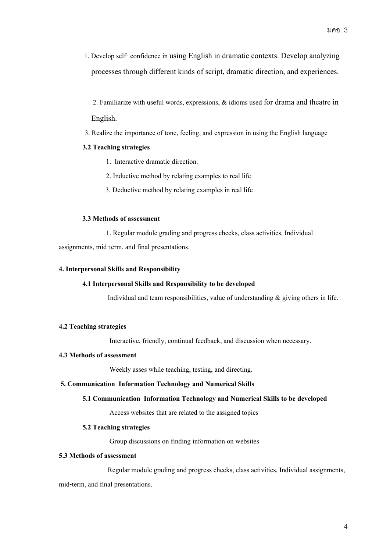1. Develop self- confidence in using English in dramatic contexts. Develop analyzing processes through different kinds of script, dramatic direction, and experiences.

 2. Familiarize with useful words, expressions, & idioms used for drama and theatre in English.

3. Realize the importance of tone, feeling, and expression in using the English language

# **3.2 Teaching strategies**

- 1. Interactive dramatic direction.
- 2. Inductive method by relating examples to real life
- 3. Deductive method by relating examples in real life

#### **3.3 Methods of assessment**

1. Regular module grading and progress checks, class activities, Individual assignments, mid-term, and final presentations.

## **4. Interpersonal Skills and Responsibility**

## **4.1 Interpersonal Skills and Responsibility to be developed**

Individual and team responsibilities, value of understanding  $\&$  giving others in life.

# **4.2 Teaching strategies**

Interactive, friendly, continual feedback, and discussion when necessary.

#### **4.3 Methods of assessment**

Weekly asses while teaching, testing, and directing.

#### **5. Communication Information Technology and Numerical Skills**

#### **5.1 Communication Information Technology and Numerical Skills to be developed**

Access websites that are related to the assigned topics

#### **5.2 Teaching strategies**

Group discussions on finding information on websites

# **5.3 Methods of assessment**

Regular module grading and progress checks, class activities, Individual assignments,

mid-term, and final presentations.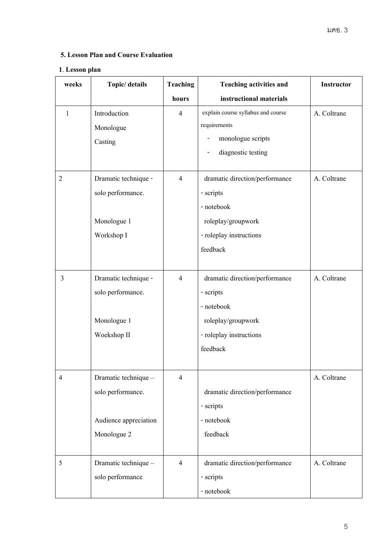# **5. Lesson Plan and Course Evaluation**

# **1**. **Lesson plan**

| weeks          | Topic/ details        | <b>Teaching</b> | <b>Teaching activities and</b><br>Instructor |             |
|----------------|-----------------------|-----------------|----------------------------------------------|-------------|
|                |                       | hours           | instructional materials                      |             |
| $\mathbf{1}$   | Introduction          | $\overline{4}$  | explain course syllabus and course           | A. Coltrane |
|                | Monologue             |                 | requirements                                 |             |
|                | Casting               |                 | monologue scripts                            |             |
|                |                       |                 | diagnostic testing                           |             |
| $\mathfrak{2}$ | Dramatic technique -  | $\overline{4}$  | dramatic direction/performance               | A. Coltrane |
|                | solo performance.     |                 | - scripts                                    |             |
|                |                       |                 | - notebook                                   |             |
|                | Monologue 1           |                 | roleplay/groupwork                           |             |
|                | Workshop I            |                 | - roleplay instructions                      |             |
|                |                       |                 | feedback                                     |             |
|                |                       |                 |                                              |             |
| 3              | Dramatic technique -  | $\overline{4}$  | dramatic direction/performance               | A. Coltrane |
|                | solo performance.     |                 | - scripts                                    |             |
|                |                       |                 | - notebook                                   |             |
|                | Monologue 1           |                 | roleplay/groupwork                           |             |
|                | Woekshop II           |                 | - roleplay instructions                      |             |
|                |                       |                 | feedback                                     |             |
|                |                       |                 |                                              |             |
| 4              | Dramatic technique -  | $\overline{4}$  |                                              | A. Coltrane |
|                | solo performance.     |                 | dramatic direction/performance               |             |
|                |                       |                 | - scripts                                    |             |
|                | Audience appreciation |                 | - notebook                                   |             |
|                | Monologue 2           |                 | feedback                                     |             |
|                |                       |                 |                                              |             |
| 5              | Dramatic technique -  | $\overline{4}$  | dramatic direction/performance               | A. Coltrane |
|                | solo performance      |                 | - scripts                                    |             |
|                |                       |                 | - notebook                                   |             |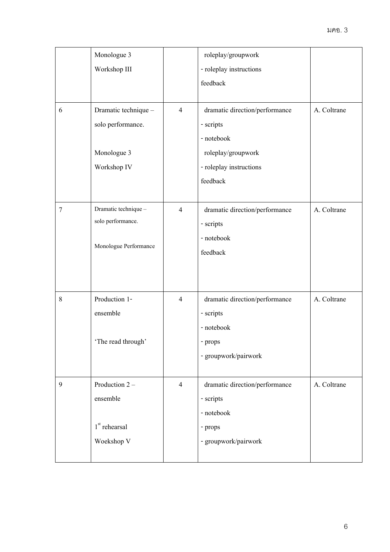|                | Monologue 3               |                | roleplay/groupwork             |             |  |
|----------------|---------------------------|----------------|--------------------------------|-------------|--|
|                | Workshop III              |                | - roleplay instructions        |             |  |
|                |                           |                | feedback                       |             |  |
|                |                           |                |                                |             |  |
| 6              | Dramatic technique -      | $\overline{4}$ | dramatic direction/performance | A. Coltrane |  |
|                | solo performance.         |                | - scripts                      |             |  |
|                |                           |                | - notebook                     |             |  |
|                | Monologue 3               |                | roleplay/groupwork             |             |  |
|                | Workshop IV               |                | - roleplay instructions        |             |  |
|                |                           |                | feedback                       |             |  |
|                |                           |                |                                |             |  |
| $\overline{7}$ | Dramatic technique -      | $\overline{4}$ | dramatic direction/performance | A. Coltrane |  |
|                | solo performance.         |                | - scripts                      |             |  |
|                |                           |                | - notebook                     |             |  |
|                | Monologue Performance     |                | feedback                       |             |  |
|                |                           |                |                                |             |  |
|                |                           |                |                                |             |  |
| $8\,$          | Production 1-             | $\overline{4}$ | dramatic direction/performance | A. Coltrane |  |
|                | ensemble                  |                | - scripts                      |             |  |
|                |                           |                | - notebook                     |             |  |
|                | 'The read through'        |                | - props                        |             |  |
|                |                           |                | - groupwork/pairwork           |             |  |
|                |                           |                |                                |             |  |
| 9              | Production 2 -            | $\overline{4}$ | dramatic direction/performance | A. Coltrane |  |
|                | ensemble                  |                | - scripts                      |             |  |
|                |                           |                | - notebook                     |             |  |
|                | 1 <sup>st</sup> rehearsal |                | - props                        |             |  |
|                | Woekshop V                |                | - groupwork/pairwork           |             |  |
|                |                           |                |                                |             |  |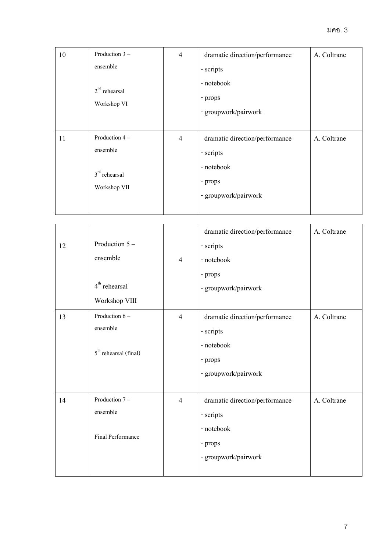| 10                              | Production 3 -                 | $\overline{4}$ | dramatic direction/performance | A. Coltrane |
|---------------------------------|--------------------------------|----------------|--------------------------------|-------------|
|                                 | ensemble                       |                | - scripts                      |             |
|                                 |                                |                | - notebook                     |             |
|                                 | $2nd$ rehearsal<br>Workshop VI |                | - props                        |             |
|                                 |                                |                | - groupwork/pairwork           |             |
|                                 |                                |                |                                |             |
| 11                              | Production 4 -                 | $\overline{4}$ | dramatic direction/performance | A. Coltrane |
|                                 | ensemble                       |                | - scripts                      |             |
| $3rd$ rehearsal<br>Workshop VII |                                |                | - notebook                     |             |
|                                 |                                |                | - props                        |             |
|                                 |                                |                | - groupwork/pairwork           |             |
|                                 |                                |                |                                |             |

| 12 | Production $5-$<br>ensemble<br>$4th$ rehearsal<br>Workshop VIII | $\overline{4}$ | dramatic direction/performance<br>- scripts<br>- notebook<br>- props<br>- groupwork/pairwork | A. Coltrane |
|----|-----------------------------------------------------------------|----------------|----------------------------------------------------------------------------------------------|-------------|
| 13 | Production 6 -<br>ensemble<br>$5th$ rehearsal (final)           | $\overline{4}$ | dramatic direction/performance<br>- scripts<br>- notebook<br>- props<br>- groupwork/pairwork | A. Coltrane |
| 14 | Production 7-<br>ensemble<br>Final Performance                  | $\overline{4}$ | dramatic direction/performance<br>- scripts<br>- notebook<br>- props<br>- groupwork/pairwork | A. Coltrane |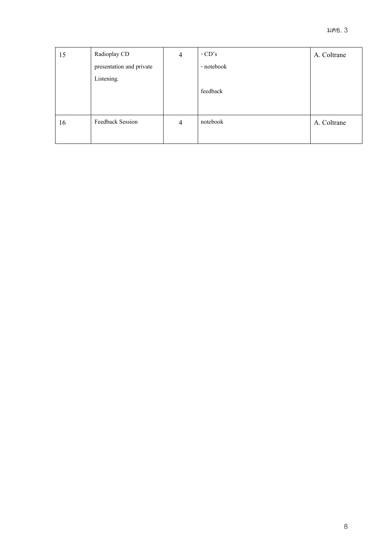| 15 | Radioplay CD             | 4              | $-CD's$    | A. Coltrane |
|----|--------------------------|----------------|------------|-------------|
|    | presentation and private |                | - notebook |             |
|    | Listening.               |                |            |             |
|    |                          |                | feedback   |             |
|    |                          |                |            |             |
|    |                          |                |            |             |
| 16 | <b>Feedback Session</b>  | $\overline{4}$ | notebook   | A. Coltrane |
|    |                          |                |            |             |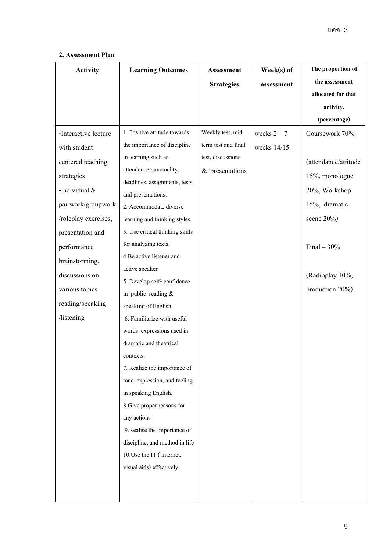# **2. Assessment Plan**

| <b>Activity</b>      | <b>Learning Outcomes</b>                             | <b>Assessment</b>   | Week(s) of    | The proportion of    |
|----------------------|------------------------------------------------------|---------------------|---------------|----------------------|
|                      |                                                      | <b>Strategies</b>   | assessment    | the assessment       |
|                      |                                                      |                     |               | allocated for that   |
|                      |                                                      |                     |               | activity.            |
|                      |                                                      |                     |               | (percentage)         |
| -Interactive lecture | 1. Positive attitude towards                         | Weekly test, mid    | weeks $2 - 7$ | Coursework 70%       |
| with student         | the importance of discipline                         | term test and final | weeks 14/15   |                      |
| centered teaching    | in learning such as                                  | test, discussions   |               | (attendance/attitude |
| strategies           | attendance punctuality,                              | $&$ presentations   |               | 15%, monologue       |
| -individual &        | deadlines, assignments, tests,                       |                     |               | 20%, Workshop        |
|                      | and presentations.                                   |                     |               | 15%, dramatic        |
| pairwork/groupwork   | 2. Accommodate diverse                               |                     |               |                      |
| /roleplay exercises, | learning and thinking styles.                        |                     |               | scene $20\%$ )       |
| presentation and     | 3. Use critical thinking skills                      |                     |               |                      |
| performance          | for analyzing texts.                                 |                     |               | Final $-30%$         |
| brainstorming,       | 4. Be active listener and                            |                     |               |                      |
| discussions on       | active speaker                                       |                     |               | (Radioplay 10%,      |
| various topics       | 5. Develop self-confidence                           |                     |               | production $20\%$ )  |
| reading/speaking     | in public reading $&$                                |                     |               |                      |
| /listening           | speaking of English<br>6. Familiarize with useful    |                     |               |                      |
|                      |                                                      |                     |               |                      |
|                      | words expressions used in<br>dramatic and theatrical |                     |               |                      |
|                      |                                                      |                     |               |                      |
|                      | contexts.<br>7. Realize the importance of            |                     |               |                      |
|                      | tone, expression, and feeling                        |                     |               |                      |
|                      | in speaking English.                                 |                     |               |                      |
|                      | 8. Give proper reasons for                           |                     |               |                      |
|                      | any actions                                          |                     |               |                      |
|                      | 9. Realise the importance of                         |                     |               |                      |
|                      | discipline, and method in life                       |                     |               |                      |
|                      | 10. Use the IT (internet,                            |                     |               |                      |
|                      | visual aids) effectively.                            |                     |               |                      |
|                      |                                                      |                     |               |                      |
|                      |                                                      |                     |               |                      |
|                      |                                                      |                     |               |                      |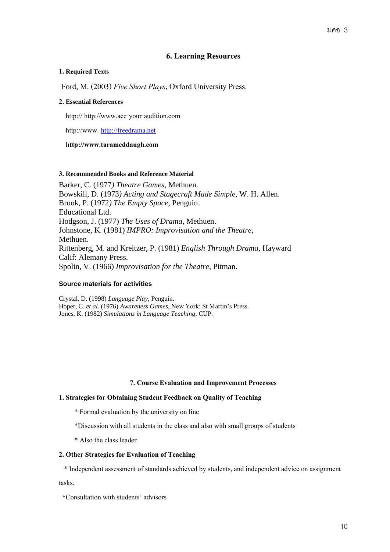# **6. Learning Resources**

# **1. Required Texts**

Ford, M. (2003) *Five Short Plays*, Oxford University Press.

# **2. Essential References**

http:// http://www.ace-your-audition.com

http://www. [http://freedrama.net](http://freedrama.net/)

# **http://www.tarameddaugh.com**

#### **3. Recommended Books and Reference Material**

Barker, C. (1977*) Theatre Games*, Methuen. Bowskill, D. (1973*) Acting and Stagecraft Made Simple*, W. H. Allen. Brook, P. (1972*) The Empty Space*, Penguin. Educational Ltd. Hodgson, J. (1977) *The Uses of Drama*, Methuen. Johnstone, K. (1981) *IMPRO: Improvisation and the Theatre,* Methuen. Rittenberg, M. and Kreitzer, P. (1981) *English Through Drama*, Hayward Calif: Alemany Press. Spolin, V. (1966) *Improvisation for the Theatre*, Pitman.

# **Source materials for activities**

Crystal, D. (1998) *Language Play*, Penguin. Hoper, C. *et al*. (1976) *Awareness Games*, New York: St Martin's Press. Jones, K. (1982) *Simulations in Language Teaching*, CUP.

# **7. Course Evaluation and Improvement Processes**

# **1. Strategies for Obtaining Student Feedback on Quality of Teaching**

- \* Formal evaluation by the university on line
- \*Discussion with all students in the class and also with small groups of students
- \* Also the class leader

#### **2. Other Strategies for Evaluation of Teaching**

\* Independent assessment of standards achieved by students, and independent advice on assignment

tasks.

 **\***Consultation with students' advisors